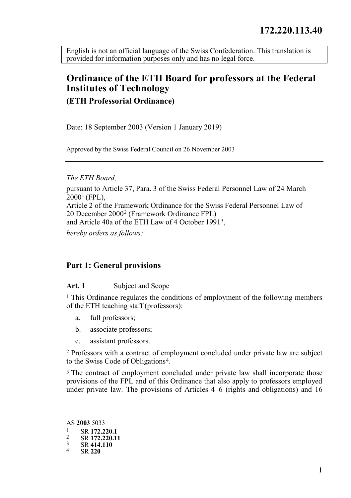<span id="page-0-0"></span>English is not an official language of the Swiss Confederation. This translation is provided for information purposes only and has no legal force.

# **Ordinance of the ETH Board for professors at the Federal Institutes of Technology**

**(ETH Professorial Ordinance)**

Date: 18 September 2003 (Version 1 January 2019)

Approved by the Swiss Federal Council on 26 November 2003

*The ETH Board,*

pursuant to Article 37, Para. 3 of the Swiss Federal Personnel Law of 24 March  $2000^1$  $2000^1$  (FPL). Article 2 of the Framework Ordinance for the Swiss Federal Personnel Law of 20 December 200[02](#page-0-2) (Framework Ordinance FPL) and Article 40a of the ETH Law of 4 October 1991[3](#page-0-3),

*hereby orders as follows:*

#### **Part 1: General provisions**

#### **Art. 1** Subject and Scope

<sup>1</sup> This Ordinance regulates the conditions of employment of the following members of the ETH teaching staff (professors):

- a. full professors;
- b. associate professors;
- c. assistant professors.

2 Professors with a contract of employment concluded under private law are subject to the Swiss Code of Obligations[4.](#page-0-4)

<sup>3</sup> The contract of employment concluded under private law shall incorporate those provisions of the FPL and of this Ordinance that also apply to professors employed under private law. The provisions of Articles 4–6 (rights and obligations) and 16

<span id="page-0-4"></span><span id="page-0-3"></span><span id="page-0-2"></span><span id="page-0-1"></span>AS **2003** 5033 <sup>1</sup> SR **172.220.1** <sup>2</sup> SR **172.220.11** <sup>3</sup> SR **414.110** <sup>4</sup> SR **<sup>220</sup>**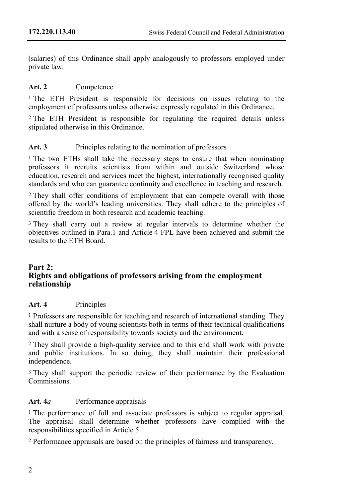(salaries) of this Ordinance shall apply analogously to professors employed under private law.

## **Art. 2** Competence

1 The ETH President is responsible for decisions on issues relating to the employment of professors unless otherwise expressly regulated in this Ordinance.

2 The ETH President is responsible for regulating the required details unless stipulated otherwise in this Ordinance.

# **Art. 3** Principles relating to the nomination of professors

1 The two ETHs shall take the necessary steps to ensure that when nominating professors it recruits scientists from within and outside Switzerland whose education, research and services meet the highest, internationally recognised quality standards and who can guarantee continuity and excellence in teaching and research.

<sup>2</sup> They shall offer conditions of employment that can compete overall with those offered by the world's leading universities. They shall adhere to the principles of scientific freedom in both research and academic teaching.

3 They shall carry out a review at regular intervals to determine whether the objectives outlined in Para.1 and Article 4 FPL have been achieved and submit the results to the ETH Board.

#### **Part 2: Rights and obligations of professors arising from the employment relationship**

## **Art. 4** Principles

1 Professors are responsible for teaching and research of international standing. They shall nurture a body of young scientists both in terms of their technical qualifications and with a sense of responsibility towards society and the environment.

2 They shall provide a high-quality service and to this end shall work with private and public institutions. In so doing, they shall maintain their professional independence.

3 They shall support the periodic review of their performance by the Evaluation Commissions.

# **Art. 4***a* Performance appraisals

1 The performance of full and associate professors is subject to regular appraisal. The appraisal shall determine whether professors have complied with the responsibilities specified in Article 5.

2 Performance appraisals are based on the principles of fairness and transparency.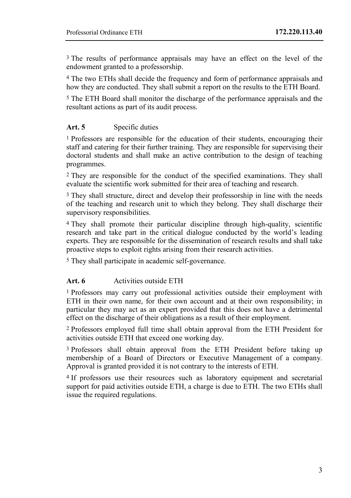3 The results of performance appraisals may have an effect on the level of the endowment granted to a professorship.

4 The two ETHs shall decide the frequency and form of performance appraisals and how they are conducted. They shall submit a report on the results to the ETH Board.

5 The ETH Board shall monitor the discharge of the performance appraisals and the resultant actions as part of its audit process.

## **Art. 5** Specific duties

1 Professors are responsible for the education of their students, encouraging their staff and catering for their further training. They are responsible for supervising their doctoral students and shall make an active contribution to the design of teaching programmes.

2 They are responsible for the conduct of the specified examinations. They shall evaluate the scientific work submitted for their area of teaching and research.

3 They shall structure, direct and develop their professorship in line with the needs of the teaching and research unit to which they belong. They shall discharge their supervisory responsibilities.

4 They shall promote their particular discipline through high-quality, scientific research and take part in the critical dialogue conducted by the world's leading experts. They are responsible for the dissemination of research results and shall take proactive steps to exploit rights arising from their research activities.

5 They shall participate in academic self-governance.

#### **Art. 6** Activities outside ETH

1 Professors may carry out professional activities outside their employment with ETH in their own name, for their own account and at their own responsibility; in particular they may act as an expert provided that this does not have a detrimental effect on the discharge of their obligations as a result of their employment.

2 Professors employed full time shall obtain approval from the ETH President for activities outside ETH that exceed one working day.

<sup>3</sup> Professors shall obtain approval from the ETH President before taking up membership of a Board of Directors or Executive Management of a company. Approval is granted provided it is not contrary to the interests of ETH.

4 If professors use their resources such as laboratory equipment and secretarial support for paid activities outside ETH, a charge is due to ETH. The two ETHs shall issue the required regulations.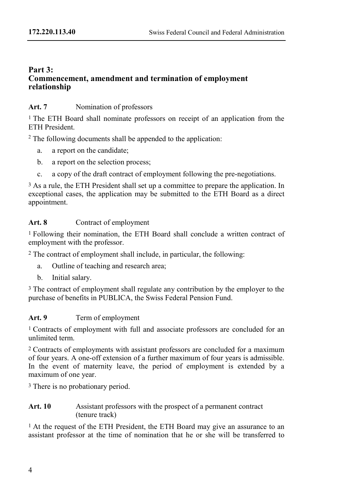## **Part 3: Commencement, amendment and termination of employment relationship**

## **Art. 7** Nomination of professors

1 The ETH Board shall nominate professors on receipt of an application from the ETH President.

<sup>2</sup> The following documents shall be appended to the application:

- a. a report on the candidate;
- b. a report on the selection process;
- c. a copy of the draft contract of employment following the pre-negotiations.

<sup>3</sup> As a rule, the ETH President shall set up a committee to prepare the application. In exceptional cases, the application may be submitted to the ETH Board as a direct appointment.

# **Art. 8** Contract of employment

1 Following their nomination, the ETH Board shall conclude a written contract of employment with the professor.

2 The contract of employment shall include, in particular, the following:

- a. Outline of teaching and research area;
- b. Initial salary.

<sup>3</sup> The contract of employment shall regulate any contribution by the employer to the purchase of benefits in PUBLICA, the Swiss Federal Pension Fund.

# **Art. 9** Term of employment

1 Contracts of employment with full and associate professors are concluded for an unlimited term.

2 Contracts of employments with assistant professors are concluded for a maximum of four years. A one-off extension of a further maximum of four years is admissible. In the event of maternity leave, the period of employment is extended by a maximum of one year.

3 There is no probationary period.

### **Art. 10** Assistant professors with the prospect of a permanent contract (tenure track)

<sup>1</sup> At the request of the ETH President, the ETH Board may give an assurance to an assistant professor at the time of nomination that he or she will be transferred to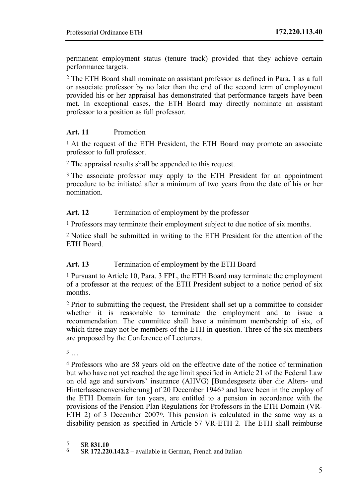permanent employment status (tenure track) provided that they achieve certain performance targets.

2 The ETH Board shall nominate an assistant professor as defined in Para. 1 as a full or associate professor by no later than the end of the second term of employment provided his or her appraisal has demonstrated that performance targets have been met. In exceptional cases, the ETH Board may directly nominate an assistant professor to a position as full professor.

#### **Art. 11** Promotion

<sup>1</sup> At the request of the ETH President, the ETH Board may promote an associate professor to full professor.

2 The appraisal results shall be appended to this request.

<sup>3</sup> The associate professor may apply to the ETH President for an appointment procedure to be initiated after a minimum of two years from the date of his or her nomination.

### **Art. 12** Termination of employment by the professor

1 Professors may terminate their employment subject to due notice of six months.

2 Notice shall be submitted in writing to the ETH President for the attention of the ETH Board.

## Art. 13 Termination of employment by the ETH Board

1 Pursuant to Article 10, Para. 3 FPL, the ETH Board may terminate the employment of a professor at the request of the ETH President subject to a notice period of six months.

2 Prior to submitting the request, the President shall set up a committee to consider whether it is reasonable to terminate the employment and to issue a recommendation. The committee shall have a minimum membership of six, of which three may not be members of the ETH in question. Three of the six members are proposed by the Conference of Lecturers.

 $3 \ldots$ 

4 Professors who are 58 years old on the effective date of the notice of termination but who have not yet reached the age limit specified in Article 21 of the Federal Law on old age and survivors' insurance (AHVG) [Bundesgesetz über die Alters- und Hinterlassenenversicherung] of 20 December 1946<sup>[5](#page-4-0)</sup> and have been in the employ of the ETH Domain for ten years, are entitled to a pension in accordance with the provisions of the Pension Plan Regulations for Professors in the ETH Domain (VR-ETH 2) of 3 December 2007<sup>6</sup>. This pension is calculated in the same way as a disability pension as specified in Article 57 VR-ETH 2. The ETH shall reimburse

<span id="page-4-1"></span><span id="page-4-0"></span><sup>5</sup> SR **831.10** <sup>6</sup> SR **172.220.142.2 –** available in German, French and Italian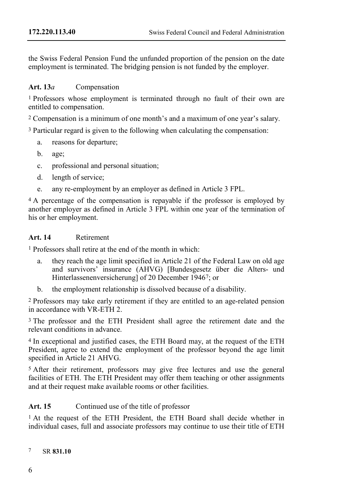the Swiss Federal Pension Fund the unfunded proportion of the pension on the date employment is terminated. The bridging pension is not funded by the employer.

## **Art. 13***a* Compensation

1 Professors whose employment is terminated through no fault of their own are entitled to compensation.

2 Compensation is a minimum of one month's and a maximum of one year's salary.

3 Particular regard is given to the following when calculating the compensation:

- a. reasons for departure;
- b. age;
- c. professional and personal situation;
- d. length of service;
- e. any re-employment by an employer as defined in Article 3 FPL.

<sup>4</sup> A percentage of the compensation is repayable if the professor is employed by another employer as defined in Article 3 FPL within one year of the termination of his or her employment.

#### **Art. 14** Retirement

1 Professors shall retire at the end of the month in which:

- a. they reach the age limit specified in Article 21 of the Federal Law on old age and survivors' insurance (AHVG) [Bundesgesetz über die Alters- und Hinterlassenenversicherung] of 20 December 1946[7](#page-5-0); or
- b. the employment relationship is dissolved because of a disability.

2 Professors may take early retirement if they are entitled to an age-related pension in accordance with VR-ETH 2.

3 The professor and the ETH President shall agree the retirement date and the relevant conditions in advance.

4 In exceptional and justified cases, the ETH Board may, at the request of the ETH President, agree to extend the employment of the professor beyond the age limit specified in Article 21 AHVG.

5 After their retirement, professors may give free lectures and use the general facilities of ETH. The ETH President may offer them teaching or other assignments and at their request make available rooms or other facilities.

#### Art. 15 Continued use of the title of professor

1 At the request of the ETH President, the ETH Board shall decide whether in individual cases, full and associate professors may continue to use their title of ETH

<span id="page-5-0"></span>7 SR **831.10**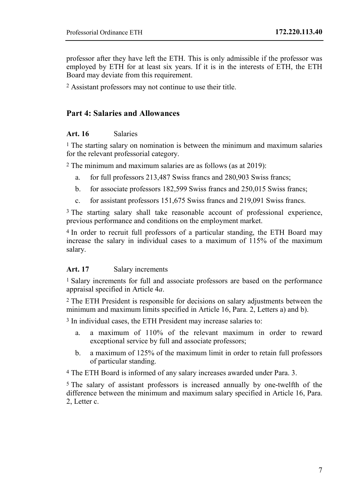professor after they have left the ETH. This is only admissible if the professor was employed by ETH for at least six years. If it is in the interests of ETH, the ETH Board may deviate from this requirement.

2 Assistant professors may not continue to use their title.

# **Part 4: Salaries and Allowances**

#### **Art. 16** Salaries

<sup>1</sup> The starting salary on nomination is between the minimum and maximum salaries for the relevant professorial category.

2 The minimum and maximum salaries are as follows (as at 2019):

- a. for full professors 213,487 Swiss francs and 280,903 Swiss francs;
- b. for associate professors 182,599 Swiss francs and 250,015 Swiss francs;
- c. for assistant professors 151,675 Swiss francs and 219,091 Swiss francs.

3 The starting salary shall take reasonable account of professional experience, previous performance and conditions on the employment market.

4 In order to recruit full professors of a particular standing, the ETH Board may increase the salary in individual cases to a maximum of 115% of the maximum salary.

#### **Art. 17** Salary increments

1 Salary increments for full and associate professors are based on the performance appraisal specified in Article 4*a*.

2 The ETH President is responsible for decisions on salary adjustments between the minimum and maximum limits specified in Article 16, Para. 2, Letters a) and b).

3 In individual cases, the ETH President may increase salaries to:

- a. a maximum of 110% of the relevant maximum in order to reward exceptional service by full and associate professors;
- b. a maximum of 125% of the maximum limit in order to retain full professors of particular standing.

4 The ETH Board is informed of any salary increases awarded under Para. 3.

5 The salary of assistant professors is increased annually by one-twelfth of the difference between the minimum and maximum salary specified in Article 16, Para. 2, Letter c.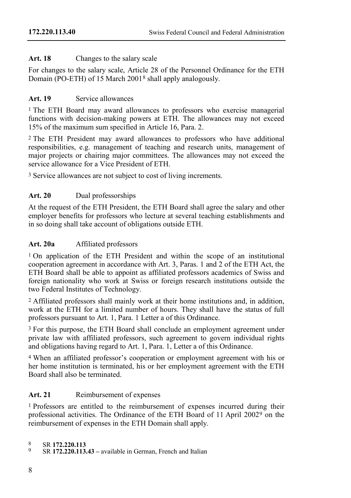## **Art. 18** Changes to the salary scale

For changes to the salary scale, Article 28 of the Personnel Ordinance for the ETH Domain (PO-ETH) of 15 March 2001[8](#page-7-0) shall apply analogously.

## **Art. 19** Service allowances

<sup>1</sup> The ETH Board may award allowances to professors who exercise managerial functions with decision-making powers at ETH. The allowances may not exceed 15% of the maximum sum specified in Article 16, Para. 2.

2 The ETH President may award allowances to professors who have additional responsibilities, e.g. management of teaching and research units, management of major projects or chairing major committees. The allowances may not exceed the service allowance for a Vice President of ETH.

3 Service allowances are not subject to cost of living increments.

## **Art. 20** Dual professorships

At the request of the ETH President, the ETH Board shall agree the salary and other employer benefits for professors who lecture at several teaching establishments and in so doing shall take account of obligations outside ETH.

## **Art. 20a** Affiliated professors

<sup>1</sup> On application of the ETH President and within the scope of an institutional cooperation agreement in accordance with Art. 3, Paras. 1 and 2 of the ETH Act, the ETH Board shall be able to appoint as affiliated professors academics of Swiss and foreign nationality who work at Swiss or foreign research institutions outside the two Federal Institutes of Technology.

2 Affiliated professors shall mainly work at their home institutions and, in addition, work at the ETH for a limited number of hours. They shall have the status of full professors pursuant to Art. 1, Para. 1 Letter a of this Ordinance.

<sup>3</sup> For this purpose, the ETH Board shall conclude an employment agreement under private law with affiliated professors, such agreement to govern individual rights and obligations having regard to Art. 1, Para. 1, Letter a of this Ordinance.

4 When an affiliated professor's cooperation or employment agreement with his or her home institution is terminated, his or her employment agreement with the ETH Board shall also be terminated.

# **Art. 21** Reimbursement of expenses

1 Professors are entitled to the reimbursement of expenses incurred during their professional activities. The Ordinance of the ETH Board of 11 April 2002<sup>9</sup> on the reimbursement of expenses in the ETH Domain shall apply.

<span id="page-7-1"></span>

<span id="page-7-0"></span><sup>8</sup> SR **172.220.113** <sup>9</sup> SR **172.220.113.43 –** available in German, French and Italian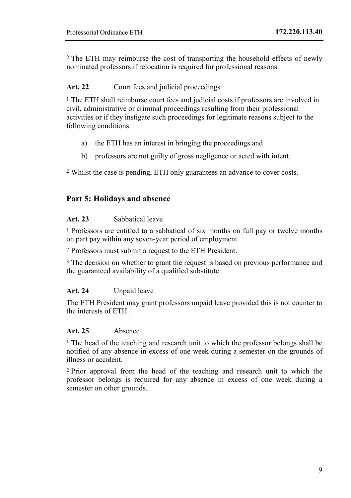2 The ETH may reimburse the cost of transporting the household effects of newly nominated professors if relocation is required for professional reasons.

## **Art. 22** Court fees and judicial proceedings

<sup>1</sup> The ETH shall reimburse court fees and judicial costs if professors are involved in civil, administrative or criminal proceedings resulting from their professional activities or if they instigate such proceedings for legitimate reasons subject to the following conditions:

- a) the ETH has an interest in bringing the proceedings and
- b) professors are not guilty of gross negligence or acted with intent.

2 Whilst the case is pending, ETH only guarantees an advance to cover costs.

## **Part 5: Holidays and absence**

#### **Art. 23** Sabbatical leave

1 Professors are entitled to a sabbatical of six months on full pay or twelve months on part pay within any seven-year period of employment.

2 Professors must submit a request to the ETH President.

3 The decision on whether to grant the request is based on previous performance and the guaranteed availability of a qualified substitute.

#### **Art. 24** Unpaid leave

The ETH President may grant professors unpaid leave provided this is not counter to the interests of ETH.

## **Art. 25** Absence

1 The head of the teaching and research unit to which the professor belongs shall be notified of any absence in excess of one week during a semester on the grounds of illness or accident.

2 Prior approval from the head of the teaching and research unit to which the professor belongs is required for any absence in excess of one week during a semester on other grounds.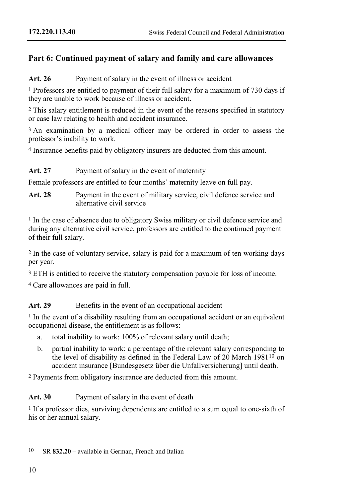# **Part 6: Continued payment of salary and family and care allowances**

Art. 26 Payment of salary in the event of illness or accident

1 Professors are entitled to payment of their full salary for a maximum of 730 days if they are unable to work because of illness or accident.

2 This salary entitlement is reduced in the event of the reasons specified in statutory or case law relating to health and accident insurance.

<sup>3</sup> An examination by a medical officer may be ordered in order to assess the professor's inability to work.

4 Insurance benefits paid by obligatory insurers are deducted from this amount.

**Art. 27** Payment of salary in the event of maternity

Female professors are entitled to four months' maternity leave on full pay.

**Art. 28** Payment in the event of military service, civil defence service and alternative civil service

1 In the case of absence due to obligatory Swiss military or civil defence service and during any alternative civil service, professors are entitled to the continued payment of their full salary.

2 In the case of voluntary service, salary is paid for a maximum of ten working days per year.

<sup>3</sup> ETH is entitled to receive the statutory compensation payable for loss of income.

4 Care allowances are paid in full.

## Art. 29 Benefits in the event of an occupational accident

 $<sup>1</sup>$  In the event of a disability resulting from an occupational accident or an equivalent</sup> occupational disease, the entitlement is as follows:

- a. total inability to work: 100% of relevant salary until death;
- b. partial inability to work: a percentage of the relevant salary corresponding to the level of disability as defined in the Federal Law of 20 March 1981[10](#page-9-0) on accident insurance [Bundesgesetz über die Unfallversicherung] until death.

2 Payments from obligatory insurance are deducted from this amount.

**Art. 30** Payment of salary in the event of death

1 If a professor dies, surviving dependents are entitled to a sum equal to one-sixth of his or her annual salary.

<span id="page-9-0"></span>10 SR **832.20 –** available in German, French and Italian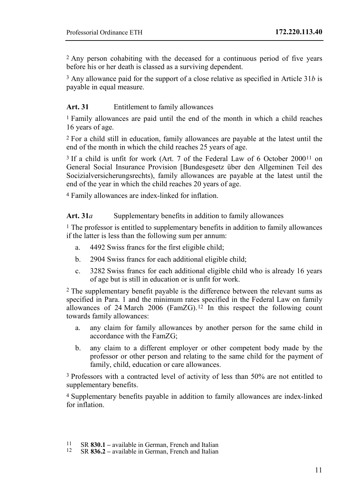2 Any person cohabiting with the deceased for a continuous period of five years before his or her death is classed as a surviving dependent.

3 Any allowance paid for the support of a close relative as specified in Article 31*b* is payable in equal measure.

### **Art. 31** Entitlement to family allowances

1 Family allowances are paid until the end of the month in which a child reaches 16 years of age.

2 For a child still in education, family allowances are payable at the latest until the end of the month in which the child reaches 25 years of age.

3 If a child is unfit for work (Art. 7 of the Federal Law of 6 October 200[011](#page-10-0) on General Social Insurance Provision [Bundesgesetz über den Allgeminen Teil des Socizialversicherungsrechts), family allowances are payable at the latest until the end of the year in which the child reaches 20 years of age.

4 Family allowances are index-linked for inflation.

**Art. 31***a* Supplementary benefits in addition to family allowances

<sup>1</sup> The professor is entitled to supplementary benefits in addition to family allowances if the latter is less than the following sum per annum:

- a. 4492 Swiss francs for the first eligible child;
- b. 2904 Swiss francs for each additional eligible child;
- c. 3282 Swiss francs for each additional eligible child who is already 16 years of age but is still in education or is unfit for work.

2 The supplementary benefit payable is the difference between the relevant sums as specified in Para. 1 and the minimum rates specified in the Federal Law on family allowances of 24 March 2006 (FamZG).<sup>[12](#page-10-1)</sup> In this respect the following count towards family allowances:

- a. any claim for family allowances by another person for the same child in accordance with the FamZG;
- b. any claim to a different employer or other competent body made by the professor or other person and relating to the same child for the payment of family, child, education or care allowances.

3 Professors with a contracted level of activity of less than 50% are not entitled to supplementary benefits.

4 Supplementary benefits payable in addition to family allowances are index-linked for inflation.

<span id="page-10-1"></span><span id="page-10-0"></span><sup>11</sup> SR **830.1 –** available in German, French and Italian <sup>12</sup> SR **836.2 –** available in German, French and Italian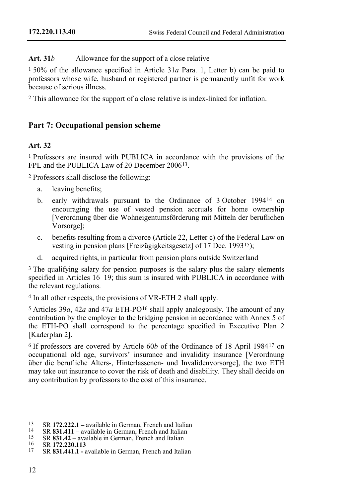Art. 31*b* Allowance for the support of a close relative

1 50% of the allowance specified in Article 31*a* Para. 1, Letter b) can be paid to professors whose wife, husband or registered partner is permanently unfit for work because of serious illness.

2 This allowance for the support of a close relative is index-linked for inflation.

# **Part 7: Occupational pension scheme**

## **Art. 32**

1 Professors are insured with PUBLICA in accordance with the provisions of the FPL and the PUBLICA Law of 20 December 2006[13](#page-11-0).

2 Professors shall disclose the following:

- a. leaving benefits;
- b. early withdrawals pursuant to the Ordinance of 3 October 1994[14](#page-11-1) on encouraging the use of vested pension accruals for home ownership [Verordnung über die Wohneigentumsförderung mit Mitteln der beruflichen Vorsorge];
- c. benefits resulting from a divorce (Article 22, Letter c) of the Federal Law on vesting in pension plans [Freizügigkeitsgesetz] of 17 Dec. 1993[15\)](#page-11-2);
- d. acquired rights, in particular from pension plans outside Switzerland

<sup>3</sup> The qualifying salary for pension purposes is the salary plus the salary elements specified in Articles 16–19; this sum is insured with PUBLICA in accordance with the relevant regulations.

4 In all other respects, the provisions of VR-ETH 2 shall apply.

5 Articles 39*a*, 42*a* and 47*a* ETH-PO[16](#page-11-3) shall apply analogously. The amount of any contribution by the employer to the bridging pension in accordance with Annex 5 of the ETH-PO shall correspond to the percentage specified in Executive Plan 2 [Kaderplan 2].

6 If professors are covered by Article 60*b* of the Ordinance of 18 April 1984[17](#page-11-4) on occupational old age, survivors' insurance and invalidity insurance [Verordnung über die berufliche Alters-, Hinterlassenen- und Invalidenvorsorge], the two ETH may take out insurance to cover the risk of death and disability. They shall decide on any contribution by professors to the cost of this insurance.

- 
- <span id="page-11-1"></span>
- <span id="page-11-0"></span><sup>13</sup> SR 172.222.1 – available in German, French and Italian<br><sup>14</sup> SR **831.411** – available in German, French and Italian<br><sup>15</sup> SR **831.42** – available in German, French and Italian<br><sup>16</sup> SR **172.220.113**<br>SR **831.441.1** - ava
- <span id="page-11-3"></span><span id="page-11-2"></span>
- <span id="page-11-4"></span>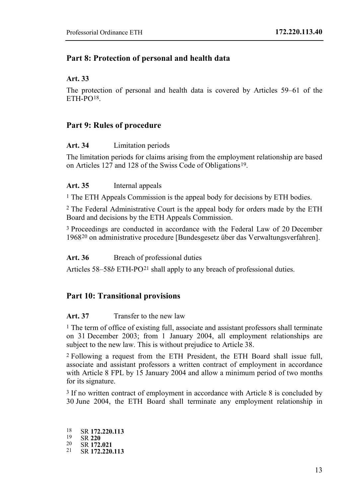## **Part 8: Protection of personal and health data**

#### **Art. 33**

The protection of personal and health data is covered by Articles 59–61 of the  $ETH-PO18$  $ETH-PO18$ 

## **Part 9: Rules of procedure**

### **Art. 34** Limitation periods

The limitation periods for claims arising from the employment relationship are based on Articles 127 and 128 of the Swiss Code of Obligations[19](#page-12-1).

### **Art. 35** Internal appeals

1 The ETH Appeals Commission is the appeal body for decisions by ETH bodies.

2 The Federal Administrative Court is the appeal body for orders made by the ETH Board and decisions by the ETH Appeals Commission.

3 Proceedings are conducted in accordance with the Federal Law of 20 December 1968[20](#page-12-2) on administrative procedure [Bundesgesetz über das Verwaltungsverfahren].

#### Art. 36 Breach of professional duties

Articles 58–58*b* ETH-PO<sup>[21](#page-12-3)</sup> shall apply to any breach of professional duties.

## **Part 10: Transitional provisions**

#### **Art. 37** Transfer to the new law

1 The term of office of existing full, associate and assistant professors shall terminate on 31 December 2003; from 1 January 2004, all employment relationships are subject to the new law. This is without prejudice to Article 38.

2 Following a request from the ETH President, the ETH Board shall issue full, associate and assistant professors a written contract of employment in accordance with Article 8 FPL by 15 January 2004 and allow a minimum period of two months for its signature.

3 If no written contract of employment in accordance with Article 8 is concluded by 30 June 2004, the ETH Board shall terminate any employment relationship in

<span id="page-12-3"></span><span id="page-12-2"></span><span id="page-12-1"></span><span id="page-12-0"></span><sup>18</sup> SR **172.220.113** <sup>19</sup> SR **<sup>220</sup>** <sup>20</sup> SR **172.021** <sup>21</sup> SR **172.220.113**